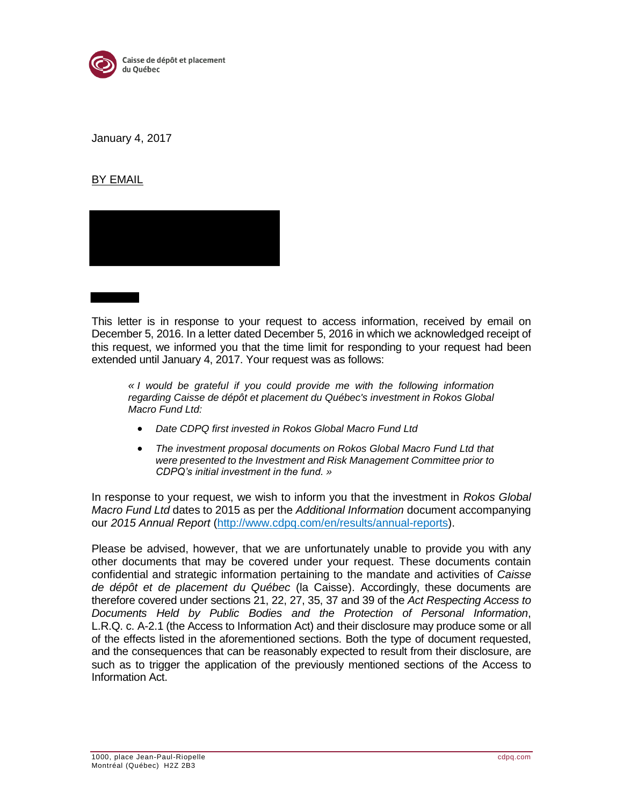

January 4, 2017

## BY EMAIL



This letter is in response to your request to access information, received by email on December 5, 2016. In a letter dated December 5, 2016 in which we acknowledged receipt of this request, we informed you that the time limit for responding to your request had been extended until January 4, 2017. Your request was as follows:

*« I would be grateful if you could provide me with the following information regarding Caisse de dépôt et placement du Québec's investment in Rokos Global Macro Fund Ltd:*

- *Date CDPQ first invested in Rokos Global Macro Fund Ltd*
- *The investment proposal documents on Rokos Global Macro Fund Ltd that were presented to the Investment and Risk Management Committee prior to CDPQ's initial investment in the fund. »*

In response to your request, we wish to inform you that the investment in *Rokos Global Macro Fund Ltd* dates to 2015 as per the *Additional Information* document accompanying our *2015 Annual Report* (http://www.cdpq.com/en/results/annual-reports).

Please be advised, however, that we are unfortunately unable to provide you with any other documents that may be covered under your request. These documents contain confidential and strategic information pertaining to the mandate and activities of *Caisse de dépôt et de placement du Québec* (la Caisse). Accordingly, these documents are therefore covered under sections 21, 22, 27, 35, 37 and 39 of the *Act Respecting Access to Documents Held by Public Bodies and the Protection of Personal Information*, L.R.Q. c. A-2.1 (the Access to Information Act) and their disclosure may produce some or all of the effects listed in the aforementioned sections. Both the type of document requested, and the consequences that can be reasonably expected to result from their disclosure, are such as to trigger the application of the previously mentioned sections of the Access to Information Act.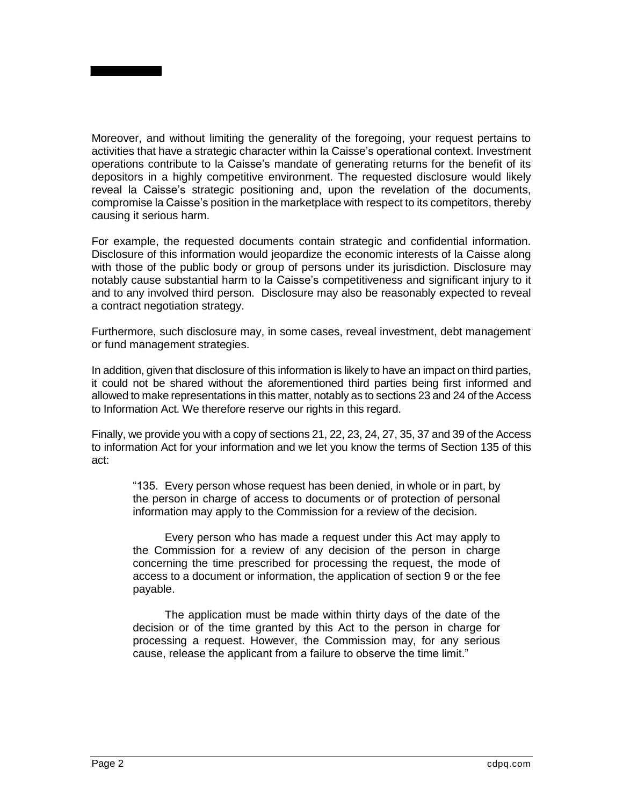

For example, the requested documents contain strategic and confidential information. Disclosure of this information would jeopardize the economic interests of la Caisse along with those of the public body or group of persons under its jurisdiction. Disclosure may notably cause substantial harm to la Caisse's competitiveness and significant injury to it and to any involved third person. Disclosure may also be reasonably expected to reveal a contract negotiation strategy.

Furthermore, such disclosure may, in some cases, reveal investment, debt management or fund management strategies.

In addition, given that disclosure of this information is likely to have an impact on third parties, it could not be shared without the aforementioned third parties being first informed and allowed to make representations in this matter, notably as to sections 23 and 24 of the Access to Information Act. We therefore reserve our rights in this regard.

Finally, we provide you with a copy of sections 21, 22, 23, 24, 27, 35, 37 and 39 of the Access to information Act for your information and we let you know the terms of Section 135 of this act:

"135. Every person whose request has been denied, in whole or in part, by the person in charge of access to documents or of protection of personal information may apply to the Commission for a review of the decision.

Every person who has made a request under this Act may apply to the Commission for a review of any decision of the person in charge concerning the time prescribed for processing the request, the mode of access to a document or information, the application of section 9 or the fee payable.

The application must be made within thirty days of the date of the decision or of the time granted by this Act to the person in charge for processing a request. However, the Commission may, for any serious cause, release the applicant from a failure to observe the time limit."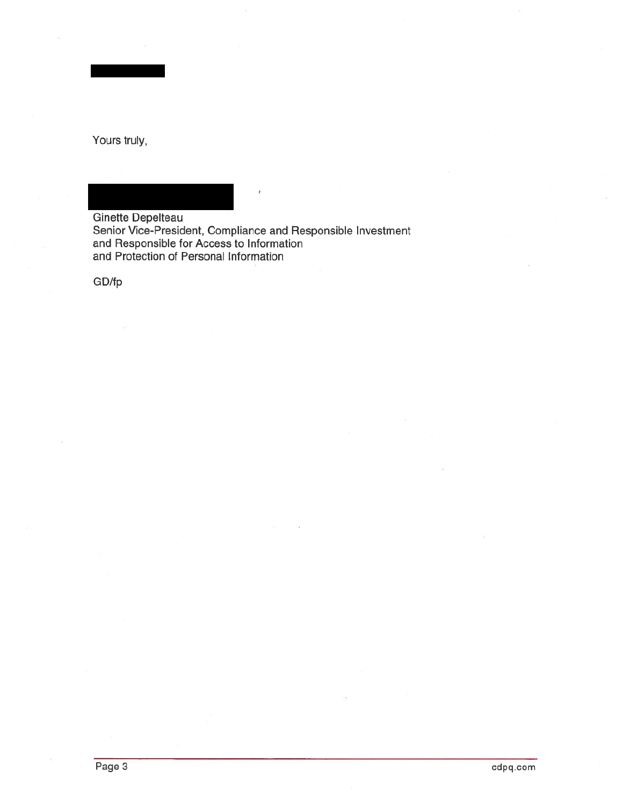Yours truly,

Ginette Depelteau Senior Vice-President, Compliance and Responsible Investment<br>and Responsible for Access to Information<br>and Protection of Personal Information

GD/fp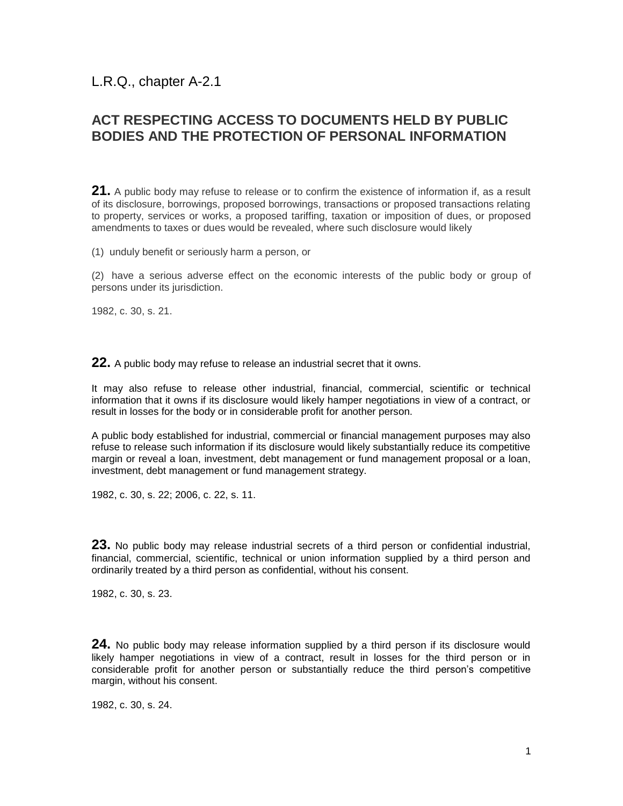L.R.Q., chapter A-2.1

## **ACT RESPECTING ACCESS TO DOCUMENTS HELD BY PUBLIC BODIES AND THE PROTECTION OF PERSONAL INFORMATION**

**[21.](javascript:displayOtherLang(%22se:21%22);)** A public body may refuse to release or to confirm the existence of information if, as a result of its disclosure, borrowings, proposed borrowings, transactions or proposed transactions relating to property, services or works, a proposed tariffing, taxation or imposition of dues, or proposed amendments to taxes or dues would be revealed, where such disclosure would likely

(1) unduly benefit or seriously harm a person, or

(2) have a serious adverse effect on the economic interests of the public body or group of persons under its jurisdiction.

1982, c. 30, s. 21.

**[22.](javascript:displayOtherLang(%22se:22%22);)** A public body may refuse to release an industrial secret that it owns.

It may also refuse to release other industrial, financial, commercial, scientific or technical information that it owns if its disclosure would likely hamper negotiations in view of a contract, or result in losses for the body or in considerable profit for another person.

A public body established for industrial, commercial or financial management purposes may also refuse to release such information if its disclosure would likely substantially reduce its competitive margin or reveal a loan, investment, debt management or fund management proposal or a loan, investment, debt management or fund management strategy.

1982, c. 30, s. 22; 2006, c. 22, s. 11.

**[23.](javascript:displayOtherLang(%22se:23%22);)** No public body may release industrial secrets of a third person or confidential industrial, financial, commercial, scientific, technical or union information supplied by a third person and ordinarily treated by a third person as confidential, without his consent.

1982, c. 30, s. 23.

**[24.](javascript:displayOtherLang(%22se:24%22);)** No public body may release information supplied by a third person if its disclosure would likely hamper negotiations in view of a contract, result in losses for the third person or in considerable profit for another person or substantially reduce the third person's competitive margin, without his consent.

1982, c. 30, s. 24.